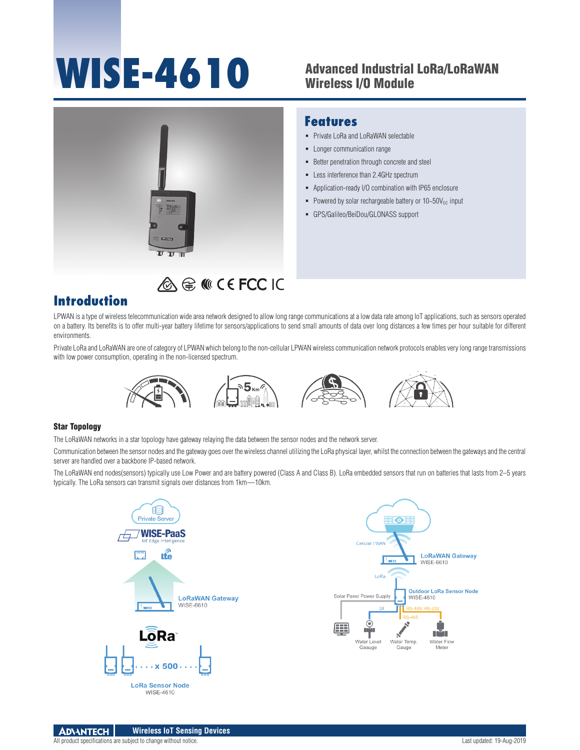# **WISE-4610**

# Advanced Industrial LoRa/LoRaWAN Wireless I/O Module

**Features**

**Private LoRa and LoRaWAN selectable -** Longer communication range

**Better penetration through concrete and steel -** Less interference than 2.4GHz spectrum

GPS/Galileo/BeiDou/GLONASS support

 Application-ready I/O combination with IP65 enclosure Powered by solar rechargeable battery or  $10-50V_{DC}$  input



# A € M CE FCC IC

# **Introduction**

LPWAN is a type of wireless telecommunication wide area network designed to allow long range communications at a low data rate among IoT applications, such as sensors operated on a battery. Its benefits is to offer multi-year battery lifetime for sensors/applications to send small amounts of data over long distances a few times per hour suitable for different environments.

Private LoRa and LoRaWAN are one of category of LPWAN which belong to the non-cellular LPWAN wireless communication network protocols enables very long range transmissions with low power consumption, operating in the non-licensed spectrum.



## Star Topology

The LoRaWAN networks in a star topology have gateway relaying the data between the sensor nodes and the network server.

Communication between the sensor nodes and the gateway goes over the wireless channel utilizing the LoRa physical layer, whilst the connection between the gateways and the central server are handled over a backbone IP-based network.

The LoRaWAN end nodes(sensors) typically use Low Power and are battery powered (Class A and Class B). LoRa embedded sensors that run on batteries that lasts from 2–5 years typically. The LoRa sensors can transmit signals over distances from 1km—10km.





n<sup>3</sup>n

Water Flow

Mete